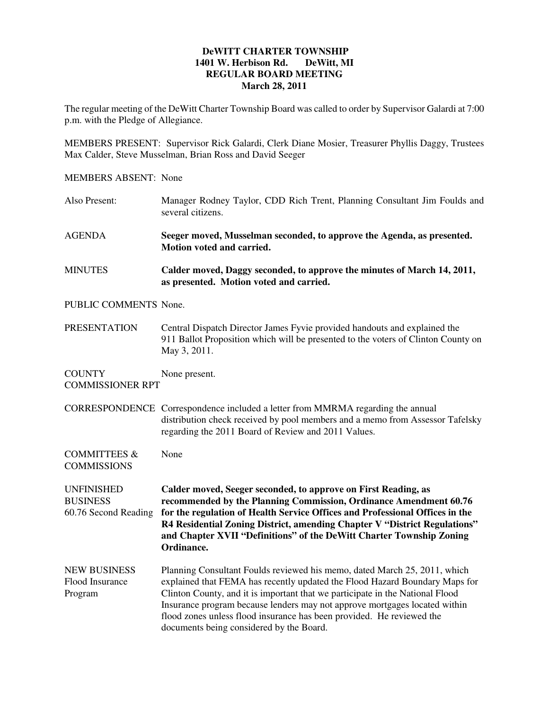## **DeWITT CHARTER TOWNSHIP 1401 W. Herbison Rd. DeWitt, MI REGULAR BOARD MEETING March 28, 2011**

The regular meeting of the DeWitt Charter Township Board was called to order by Supervisor Galardi at 7:00 p.m. with the Pledge of Allegiance.

MEMBERS PRESENT: Supervisor Rick Galardi, Clerk Diane Mosier, Treasurer Phyllis Daggy, Trustees Max Calder, Steve Musselman, Brian Ross and David Seeger

MEMBERS ABSENT: None

| Also Present:                                                | Manager Rodney Taylor, CDD Rich Trent, Planning Consultant Jim Foulds and<br>several citizens.                                                                                                                                                                                                                                                                                                                                               |  |
|--------------------------------------------------------------|----------------------------------------------------------------------------------------------------------------------------------------------------------------------------------------------------------------------------------------------------------------------------------------------------------------------------------------------------------------------------------------------------------------------------------------------|--|
| <b>AGENDA</b>                                                | Seeger moved, Musselman seconded, to approve the Agenda, as presented.<br>Motion voted and carried.                                                                                                                                                                                                                                                                                                                                          |  |
| <b>MINUTES</b>                                               | Calder moved, Daggy seconded, to approve the minutes of March 14, 2011,<br>as presented. Motion voted and carried.                                                                                                                                                                                                                                                                                                                           |  |
| PUBLIC COMMENTS None.                                        |                                                                                                                                                                                                                                                                                                                                                                                                                                              |  |
| <b>PRESENTATION</b>                                          | Central Dispatch Director James Fyvie provided handouts and explained the<br>911 Ballot Proposition which will be presented to the voters of Clinton County on<br>May 3, 2011.                                                                                                                                                                                                                                                               |  |
| <b>COUNTY</b><br><b>COMMISSIONER RPT</b>                     | None present.                                                                                                                                                                                                                                                                                                                                                                                                                                |  |
|                                                              | CORRESPONDENCE Correspondence included a letter from MMRMA regarding the annual<br>distribution check received by pool members and a memo from Assessor Tafelsky<br>regarding the 2011 Board of Review and 2011 Values.                                                                                                                                                                                                                      |  |
| <b>COMMITTEES &amp;</b><br><b>COMMISSIONS</b>                | None                                                                                                                                                                                                                                                                                                                                                                                                                                         |  |
| <b>UNFINISHED</b><br><b>BUSINESS</b><br>60.76 Second Reading | Calder moved, Seeger seconded, to approve on First Reading, as<br>recommended by the Planning Commission, Ordinance Amendment 60.76<br>for the regulation of Health Service Offices and Professional Offices in the<br>R4 Residential Zoning District, amending Chapter V "District Regulations"<br>and Chapter XVII "Definitions" of the DeWitt Charter Township Zoning<br>Ordinance.                                                       |  |
| <b>NEW BUSINESS</b><br>Flood Insurance<br>Program            | Planning Consultant Foulds reviewed his memo, dated March 25, 2011, which<br>explained that FEMA has recently updated the Flood Hazard Boundary Maps for<br>Clinton County, and it is important that we participate in the National Flood<br>Insurance program because lenders may not approve mortgages located within<br>flood zones unless flood insurance has been provided. He reviewed the<br>documents being considered by the Board. |  |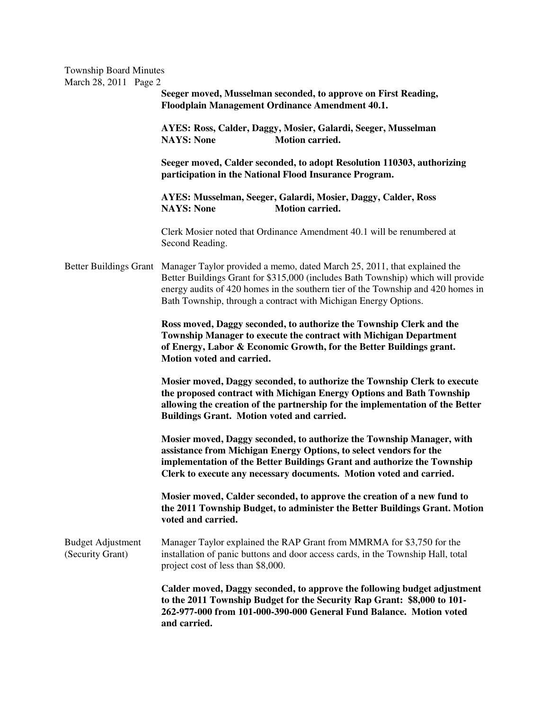| <b>Township Board Minutes</b><br>March 28, 2011 Page 2 |                                                                                                                                                                                                                                                                                                                                            |  |  |
|--------------------------------------------------------|--------------------------------------------------------------------------------------------------------------------------------------------------------------------------------------------------------------------------------------------------------------------------------------------------------------------------------------------|--|--|
|                                                        | Seeger moved, Musselman seconded, to approve on First Reading,<br>Floodplain Management Ordinance Amendment 40.1.                                                                                                                                                                                                                          |  |  |
|                                                        | AYES: Ross, Calder, Daggy, Mosier, Galardi, Seeger, Musselman<br><b>NAYS: None</b><br>Motion carried.                                                                                                                                                                                                                                      |  |  |
|                                                        | Seeger moved, Calder seconded, to adopt Resolution 110303, authorizing<br>participation in the National Flood Insurance Program.                                                                                                                                                                                                           |  |  |
|                                                        | AYES: Musselman, Seeger, Galardi, Mosier, Daggy, Calder, Ross<br><b>NAYS: None</b><br>Motion carried.                                                                                                                                                                                                                                      |  |  |
|                                                        | Clerk Mosier noted that Ordinance Amendment 40.1 will be renumbered at<br>Second Reading.                                                                                                                                                                                                                                                  |  |  |
|                                                        | Better Buildings Grant Manager Taylor provided a memo, dated March 25, 2011, that explained the<br>Better Buildings Grant for \$315,000 (includes Bath Township) which will provide<br>energy audits of 420 homes in the southern tier of the Township and 420 homes in<br>Bath Township, through a contract with Michigan Energy Options. |  |  |
|                                                        | Ross moved, Daggy seconded, to authorize the Township Clerk and the<br>Township Manager to execute the contract with Michigan Department<br>of Energy, Labor & Economic Growth, for the Better Buildings grant.<br>Motion voted and carried.                                                                                               |  |  |
|                                                        | Mosier moved, Daggy seconded, to authorize the Township Clerk to execute<br>the proposed contract with Michigan Energy Options and Bath Township<br>allowing the creation of the partnership for the implementation of the Better<br>Buildings Grant. Motion voted and carried.                                                            |  |  |
|                                                        | Mosier moved, Daggy seconded, to authorize the Township Manager, with<br>assistance from Michigan Energy Options, to select vendors for the<br>implementation of the Better Buildings Grant and authorize the Township<br>Clerk to execute any necessary documents. Motion voted and carried.                                              |  |  |
|                                                        | Mosier moved, Calder seconded, to approve the creation of a new fund to<br>the 2011 Township Budget, to administer the Better Buildings Grant. Motion<br>voted and carried.                                                                                                                                                                |  |  |
| <b>Budget Adjustment</b><br>(Security Grant)           | Manager Taylor explained the RAP Grant from MMRMA for \$3,750 for the<br>installation of panic buttons and door access cards, in the Township Hall, total<br>project cost of less than \$8,000.                                                                                                                                            |  |  |
|                                                        | Calder moved, Daggy seconded, to approve the following budget adjustment<br>to the 2011 Township Budget for the Security Rap Grant: \$8,000 to 101-<br>262-977-000 from 101-000-390-000 General Fund Balance. Motion voted<br>and carried.                                                                                                 |  |  |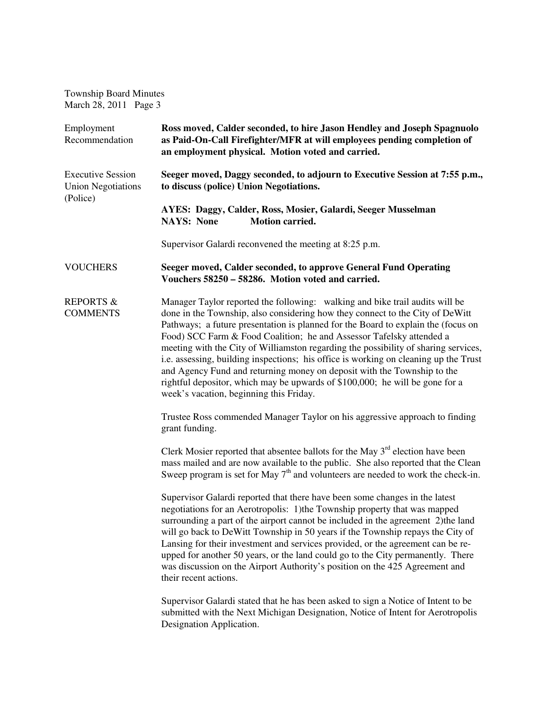Township Board Minutes March 28, 2011 Page 3

| Employment<br>Recommendation                                      | Ross moved, Calder seconded, to hire Jason Hendley and Joseph Spagnuolo<br>as Paid-On-Call Firefighter/MFR at will employees pending completion of<br>an employment physical. Motion voted and carried.                                                                                                                                                                                                                                                                                                                                                                                                                                                                                                         |  |
|-------------------------------------------------------------------|-----------------------------------------------------------------------------------------------------------------------------------------------------------------------------------------------------------------------------------------------------------------------------------------------------------------------------------------------------------------------------------------------------------------------------------------------------------------------------------------------------------------------------------------------------------------------------------------------------------------------------------------------------------------------------------------------------------------|--|
| <b>Executive Session</b><br><b>Union Negotiations</b><br>(Police) | Seeger moved, Daggy seconded, to adjourn to Executive Session at 7:55 p.m.,<br>to discuss (police) Union Negotiations.                                                                                                                                                                                                                                                                                                                                                                                                                                                                                                                                                                                          |  |
|                                                                   | AYES: Daggy, Calder, Ross, Mosier, Galardi, Seeger Musselman<br><b>NAYS: None</b><br><b>Motion carried.</b>                                                                                                                                                                                                                                                                                                                                                                                                                                                                                                                                                                                                     |  |
|                                                                   | Supervisor Galardi reconvened the meeting at 8:25 p.m.                                                                                                                                                                                                                                                                                                                                                                                                                                                                                                                                                                                                                                                          |  |
| <b>VOUCHERS</b>                                                   | Seeger moved, Calder seconded, to approve General Fund Operating<br>Vouchers 58250 – 58286. Motion voted and carried.                                                                                                                                                                                                                                                                                                                                                                                                                                                                                                                                                                                           |  |
| <b>REPORTS &amp;</b><br><b>COMMENTS</b>                           | Manager Taylor reported the following: walking and bike trail audits will be<br>done in the Township, also considering how they connect to the City of DeWitt<br>Pathways; a future presentation is planned for the Board to explain the (focus on<br>Food) SCC Farm & Food Coalition; he and Assessor Tafelsky attended a<br>meeting with the City of Williamston regarding the possibility of sharing services,<br>i.e. assessing, building inspections; his office is working on cleaning up the Trust<br>and Agency Fund and returning money on deposit with the Township to the<br>rightful depositor, which may be upwards of \$100,000; he will be gone for a<br>week's vacation, beginning this Friday. |  |
|                                                                   | Trustee Ross commended Manager Taylor on his aggressive approach to finding<br>grant funding.                                                                                                                                                                                                                                                                                                                                                                                                                                                                                                                                                                                                                   |  |
|                                                                   | Clerk Mosier reported that absentee ballots for the May $3rd$ election have been<br>mass mailed and are now available to the public. She also reported that the Clean<br>Sweep program is set for May $7th$ and volunteers are needed to work the check-in.                                                                                                                                                                                                                                                                                                                                                                                                                                                     |  |
|                                                                   | Supervisor Galardi reported that there have been some changes in the latest<br>negotiations for an Aerotropolis: 1) the Township property that was mapped<br>surrounding a part of the airport cannot be included in the agreement 2) the land<br>will go back to DeWitt Township in 50 years if the Township repays the City of<br>Lansing for their investment and services provided, or the agreement can be re-<br>upped for another 50 years, or the land could go to the City permanently. There<br>was discussion on the Airport Authority's position on the 425 Agreement and<br>their recent actions.                                                                                                  |  |
|                                                                   | Supervisor Galardi stated that he has been asked to sign a Notice of Intent to be<br>submitted with the Next Michigan Designation, Notice of Intent for Aerotropolis<br>Designation Application.                                                                                                                                                                                                                                                                                                                                                                                                                                                                                                                |  |